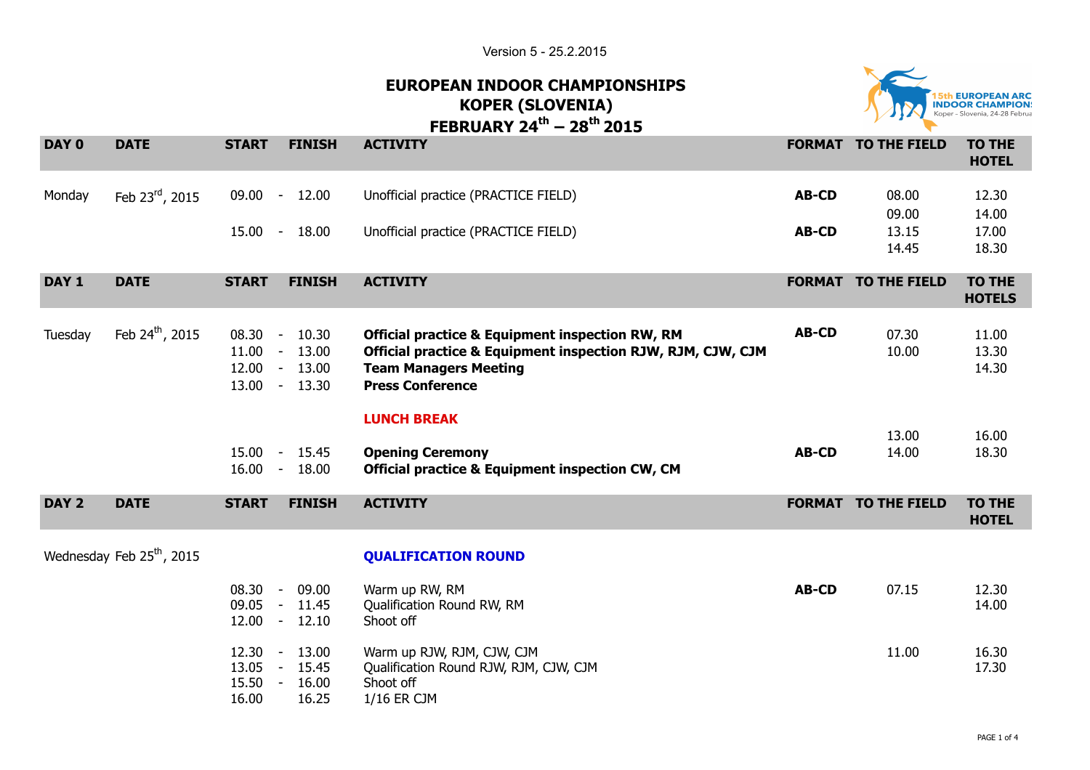Version 5 - 25.2.2015



## **EUROPEAN INDOOR CHAMPIONSHIPS KOPER (SLOVENIA) FEBBUARY 24<sup>th</sup> – 28<sup>th</sup> 2015**

|                  |                                       |                                  |                                                              | ILDNUANI 47<br>LUIJ                                                                                                                                                                  |              |                            |                                |
|------------------|---------------------------------------|----------------------------------|--------------------------------------------------------------|--------------------------------------------------------------------------------------------------------------------------------------------------------------------------------------|--------------|----------------------------|--------------------------------|
| DAY 0            | <b>DATE</b>                           | <b>START</b>                     | <b>FINISH</b>                                                | <b>ACTIVITY</b>                                                                                                                                                                      |              | <b>FORMAT TO THE FIELD</b> | <b>TO THE</b><br><b>HOTEL</b>  |
| Monday           | Feb 23rd, 2015                        | 09.00                            | 12.00<br>$\sim$                                              | Unofficial practice (PRACTICE FIELD)                                                                                                                                                 | <b>AB-CD</b> | 08.00<br>09.00             | 12.30<br>14.00                 |
|                  |                                       | $15.00 -$                        | 18.00                                                        | Unofficial practice (PRACTICE FIELD)                                                                                                                                                 | <b>AB-CD</b> | 13.15<br>14.45             | 17.00<br>18.30                 |
| DAY <sub>1</sub> | <b>DATE</b>                           | <b>START</b>                     | <b>FINISH</b>                                                | <b>ACTIVITY</b>                                                                                                                                                                      |              | <b>FORMAT TO THE FIELD</b> | <b>TO THE</b><br><b>HOTELS</b> |
| Tuesday          | Feb 24 <sup>th</sup> , 2015           | $08.30 -$                        | 10.30<br>$11.00 - 13.00$<br>$12.00 - 13.00$<br>13.00 - 13.30 | <b>Official practice &amp; Equipment inspection RW, RM</b><br>Official practice & Equipment inspection RJW, RJM, CJW, CJM<br><b>Team Managers Meeting</b><br><b>Press Conference</b> | <b>AB-CD</b> | 07.30<br>10.00             | 11.00<br>13.30<br>14.30        |
|                  |                                       |                                  | 15.00 - 15.45<br>$16.00 - 18.00$                             | <b>LUNCH BREAK</b><br><b>Opening Ceremony</b><br><b>Official practice &amp; Equipment inspection CW, CM</b>                                                                          | <b>AB-CD</b> | 13.00<br>14.00             | 16.00<br>18.30                 |
| DAY <sub>2</sub> | <b>DATE</b>                           | <b>START</b>                     | <b>FINISH</b>                                                | <b>ACTIVITY</b>                                                                                                                                                                      |              | <b>FORMAT TO THE FIELD</b> | <b>TO THE</b><br><b>HOTEL</b>  |
|                  | Wednesday Feb 25 <sup>th</sup> , 2015 |                                  |                                                              | <b>QUALIFICATION ROUND</b>                                                                                                                                                           |              |                            |                                |
|                  |                                       |                                  | 08.30 - 09.00<br>09.05 - 11.45<br>$12.00 - 12.10$            | Warm up RW, RM<br>Qualification Round RW, RM<br>Shoot off                                                                                                                            | <b>AB-CD</b> | 07.15                      | 12.30<br>14.00                 |
|                  |                                       | 12.30<br>13.05<br>15.50<br>16.00 | 13.00<br>$\sim$<br>$-15.45$<br>$\sim$<br>16.00<br>16.25      | Warm up RJW, RJM, CJW, CJM<br>Qualification Round RJW, RJM, CJW, CJM<br>Shoot off<br>1/16 ER CJM                                                                                     |              | 11.00                      | 16.30<br>17.30                 |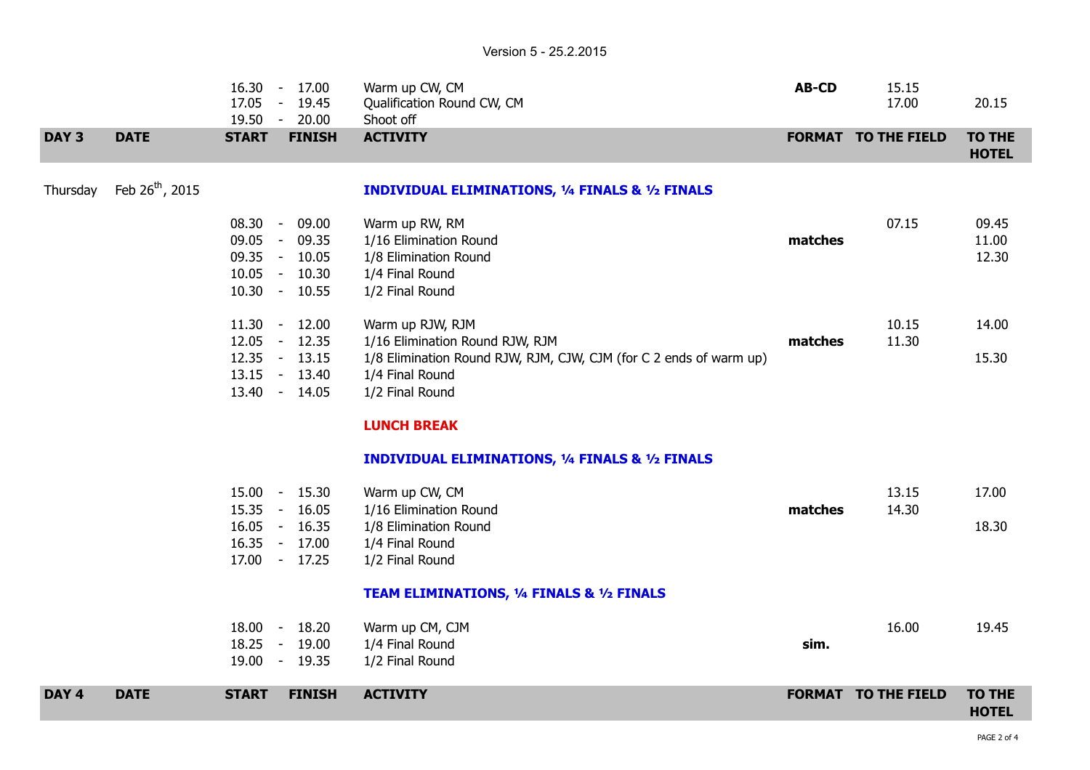|                  |                             |              | 16.30 - 17.00<br>17.05 - 19.45<br>19.50 - 20.00                                     | Warm up CW, CM<br>Qualification Round CW, CM<br>Shoot off                                                                                                       | <b>AB-CD</b> | 15.15<br>17.00             | 20.15                         |
|------------------|-----------------------------|--------------|-------------------------------------------------------------------------------------|-----------------------------------------------------------------------------------------------------------------------------------------------------------------|--------------|----------------------------|-------------------------------|
| DAY <sub>3</sub> | <b>DATE</b>                 | <b>START</b> | <b>FINISH</b>                                                                       | <b>ACTIVITY</b>                                                                                                                                                 |              | <b>FORMAT TO THE FIELD</b> | <b>TO THE</b><br><b>HOTEL</b> |
| Thursday         | Feb 26 <sup>th</sup> , 2015 |              |                                                                                     | <b>INDIVIDUAL ELIMINATIONS, 1/4 FINALS &amp; 1/2 FINALS</b>                                                                                                     |              |                            |                               |
|                  |                             |              | 08.30 - 09.00<br>09.05 - 09.35<br>09.35 - 10.05<br>$10.05 - 10.30$<br>10.30 - 10.55 | Warm up RW, RM<br>1/16 Elimination Round<br>1/8 Elimination Round<br>1/4 Final Round<br>1/2 Final Round                                                         | matches      | 07.15                      | 09.45<br>11.00<br>12.30       |
|                  |                             |              | $11.30 - 12.00$<br>12.05 - 12.35<br>12.35 - 13.15<br>13.15 - 13.40<br>13.40 - 14.05 | Warm up RJW, RJM<br>1/16 Elimination Round RJW, RJM<br>1/8 Elimination Round RJW, RJM, CJW, CJM (for C 2 ends of warm up)<br>1/4 Final Round<br>1/2 Final Round | matches      | 10.15<br>11.30             | 14.00<br>15.30                |
|                  |                             |              |                                                                                     | <b>LUNCH BREAK</b><br><b>INDIVIDUAL ELIMINATIONS, 1/4 FINALS &amp; 1/2 FINALS</b>                                                                               |              |                            |                               |
|                  |                             |              | 15.00 - 15.30<br>15.35 - 16.05<br>16.05 - 16.35<br>16.35 - 17.00<br>17.00 - 17.25   | Warm up CW, CM<br>1/16 Elimination Round<br>1/8 Elimination Round<br>1/4 Final Round<br>1/2 Final Round                                                         | matches      | 13.15<br>14.30             | 17.00<br>18.30                |
|                  |                             |              |                                                                                     | TEAM ELIMINATIONS, 1/4 FINALS & 1/2 FINALS                                                                                                                      |              |                            |                               |
|                  |                             |              | 18.00 - 18.20<br>18.25 - 19.00<br>19.00 - 19.35                                     | Warm up CM, CJM<br>1/4 Final Round<br>1/2 Final Round                                                                                                           | sim.         | 16.00                      | 19.45                         |
| DAY <sub>4</sub> | <b>DATE</b>                 | <b>START</b> | <b>FINISH</b>                                                                       | <b>ACTIVITY</b>                                                                                                                                                 |              | <b>FORMAT TO THE FIELD</b> | <b>TO THE</b><br><b>HOTEL</b> |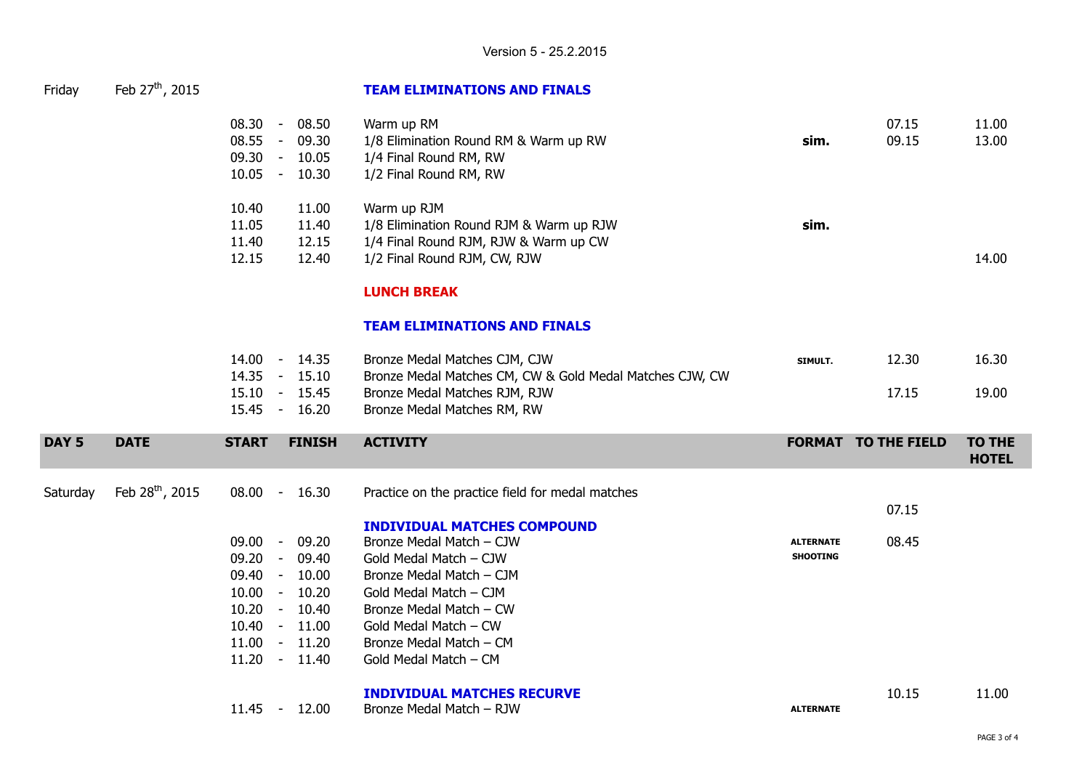| Friday | Feb $27^{\text{th}}$ , 2015 |  |
|--------|-----------------------------|--|
|--------|-----------------------------|--|

 $11.45$ 

## Friday Feb 27th, 2015 **TEAM ELIMINATIONS AND FINALS**

| 08.30<br>$\overline{\phantom{a}}$<br>08.55<br>$\blacksquare$<br>09.30<br>$\overline{\phantom{a}}$<br>10.05<br>$\overline{\phantom{a}}$ | 08.50<br>09.30<br>10.05<br>10.30 | Warm up RM<br>1/8 Elimination Round RM & Warm up RW<br>1/4 Final Round RM, RW<br>1/2 Final Round RM, RW                             | sim.    | 07.15<br>09.15 | 11.00<br>13.00 |
|----------------------------------------------------------------------------------------------------------------------------------------|----------------------------------|-------------------------------------------------------------------------------------------------------------------------------------|---------|----------------|----------------|
| 10.40<br>11.05<br>11.40<br>12.15                                                                                                       | 11.00<br>11.40<br>12.15<br>12.40 | Warm up RJM<br>1/8 Elimination Round RJM & Warm up RJW<br>1/4 Final Round RJM, RJW & Warm up CW<br>1/2 Final Round RJM, CW, RJW     | sim.    |                | 14.00          |
|                                                                                                                                        |                                  | <b>LUNCH BREAK</b>                                                                                                                  |         |                |                |
| 14.00<br>$\blacksquare$<br>1 4 O.F                                                                                                     | 14.35<br>15.10                   | <b>TEAM ELIMINATIONS AND FINALS</b><br>Bronze Medal Matches CJM, CJW<br>Duange Medal Mateboo CM, CMIO, Cald Medal Mateboo CIMI, CMI | SIMULT. | 12.30          | 16.30          |

| 14.00 - 14.35 |       | Bronze Medal Matches CJM, CJW                            | SIMULT. | 12.30 | 16.30 |
|---------------|-------|----------------------------------------------------------|---------|-------|-------|
| 14.35 - 15.10 |       | Bronze Medal Matches CM, CW & Gold Medal Matches CJW, CW |         |       |       |
| 15.10 - 15.45 |       | Bronze Medal Matches RJM, RJW                            |         | 17.15 | 19.00 |
| 15.45 -       | 16.20 | Bronze Medal Matches RM, RW                              |         |       |       |

| DAY 5    | <b>DATE</b>          | <b>START</b> | <b>FINISH</b>   | <b>ACTIVITY</b>                                  | <b>FORMAT</b>    | <b>TO THE FIELD</b> | TO THE<br><b>HOTEL</b> |
|----------|----------------------|--------------|-----------------|--------------------------------------------------|------------------|---------------------|------------------------|
| Saturday | Feb $28^{th}$ , 2015 |              | 08.00 - 16.30   | Practice on the practice field for medal matches |                  | 07.15               |                        |
|          |                      |              |                 | <b>INDIVIDUAL MATCHES COMPOUND</b>               |                  |                     |                        |
|          |                      | 09.00        | 09.20<br>$\sim$ | Bronze Medal Match – CJW                         | <b>ALTERNATE</b> | 08.45               |                        |
|          |                      | 09.20        | 09.40<br>$\sim$ | Gold Medal Match - CJW                           | <b>SHOOTING</b>  |                     |                        |
|          |                      | $09.40 -$    | 10.00           | Bronze Medal Match – CJM                         |                  |                     |                        |
|          |                      | 10.00        | 10.20<br>$\sim$ | Gold Medal Match – CJM                           |                  |                     |                        |
|          |                      | 10.20        | 10.40<br>$\sim$ | Bronze Medal Match – CW                          |                  |                     |                        |
|          |                      |              | $10.40 - 11.00$ | Gold Medal Match – CW                            |                  |                     |                        |
|          |                      | 11.00        | $-11.20$        | Bronze Medal Match – CM                          |                  |                     |                        |
|          |                      | 11.20        | 11.40<br>$\sim$ | Gold Medal Match - CM                            |                  |                     |                        |
|          |                      |              |                 | <b>INDIVIDUAL MATCHES RECURVE</b>                |                  | 10.15               | 11.00                  |

|--|

**ALTERNATE**